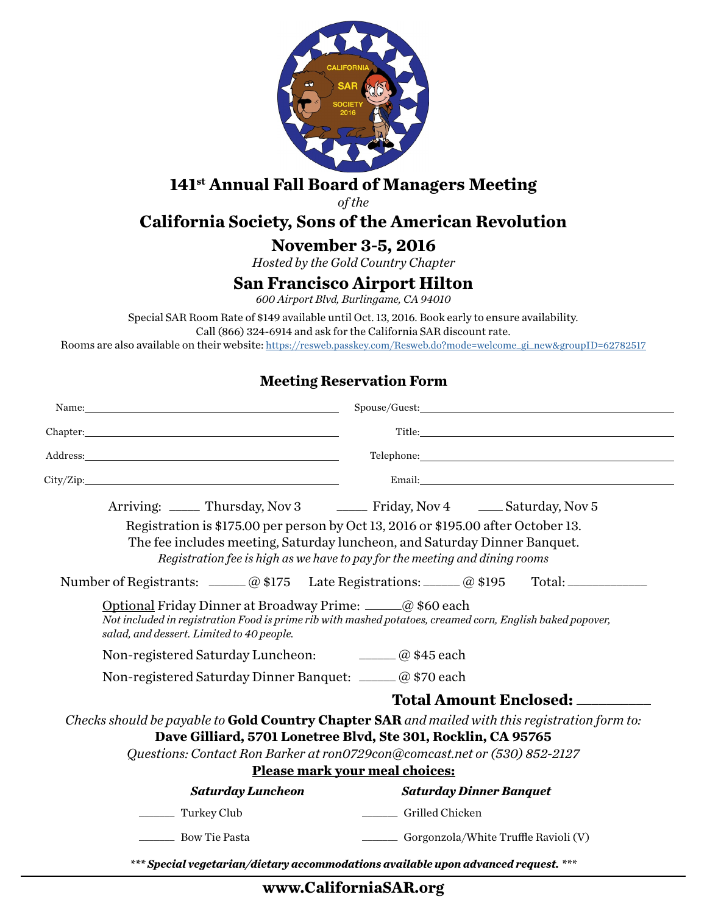

# **141st Annual Fall Board of Managers Meeting**

*of the*

# **California Society, Sons of the American Revolution**

**November 3-5, 2016**

*Hosted by the Gold Country Chapter*

### **San Francisco Airport Hilton**

*600 Airport Blvd, Burlingame, CA 94010*

Special SAR Room Rate of \$149 available until Oct. 13, 2016. Book early to ensure availability. Call (866) 324-6914 and ask for the California SAR discount rate.

Rooms are also available on their website: https://resweb.passkey.com/Resweb.do?mode=welcome\_gi\_new&groupID=62782517

#### **Meeting Reservation Form**

| City/Zip:                                                                                                                                                                                                                                                                              |                                                                                                                                                                                                                                               |
|----------------------------------------------------------------------------------------------------------------------------------------------------------------------------------------------------------------------------------------------------------------------------------------|-----------------------------------------------------------------------------------------------------------------------------------------------------------------------------------------------------------------------------------------------|
|                                                                                                                                                                                                                                                                                        | Arriving: _____ Thursday, Nov 3 ______ Friday, Nov 4 _____ Saturday, Nov 5                                                                                                                                                                    |
|                                                                                                                                                                                                                                                                                        | Registration is \$175.00 per person by Oct 13, 2016 or \$195.00 after October 13.<br>The fee includes meeting, Saturday luncheon, and Saturday Dinner Banquet.<br>Registration fee is high as we have to pay for the meeting and dining rooms |
|                                                                                                                                                                                                                                                                                        | Number of Registrants: <u>_____</u> @ \$175 Late Registrations: _____ @ \$195 Total: ________                                                                                                                                                 |
| Optional Friday Dinner at Broadway Prime: _____@\$60 each<br>salad, and dessert. Limited to 40 people.                                                                                                                                                                                 | Not included in registration Food is prime rib with mashed potatoes, creamed corn, English baked popover,                                                                                                                                     |
| Non-registered Saturday Luncheon: <u>_______</u> @ \$45 each                                                                                                                                                                                                                           |                                                                                                                                                                                                                                               |
| Non-registered Saturday Dinner Banquet: _____ @ \$70 each                                                                                                                                                                                                                              |                                                                                                                                                                                                                                               |
| <b>Total Amount Enclosed:</b>                                                                                                                                                                                                                                                          |                                                                                                                                                                                                                                               |
| Checks should be payable to Gold Country Chapter SAR and mailed with this registration form to:<br>Dave Gilliard, 5701 Lonetree Blvd, Ste 301, Rocklin, CA 95765<br>Questions: Contact Ron Barker at ron0729con@comcast.net or (530) 852-2127<br><b>Please mark your meal choices:</b> |                                                                                                                                                                                                                                               |
| <b>Saturday Luncheon</b>                                                                                                                                                                                                                                                               | <b>Saturday Dinner Banquet</b>                                                                                                                                                                                                                |
| Turkey Club                                                                                                                                                                                                                                                                            | Grilled Chicken                                                                                                                                                                                                                               |
| <b>EXECUTE:</b> Bow Tie Pasta                                                                                                                                                                                                                                                          | Gorgonzola/White Truffle Ravioli (V)                                                                                                                                                                                                          |

*\*\*\* Special vegetarian/dietary accommodations available upon advanced request. \*\*\**

### **www.CaliforniaSAR.org**